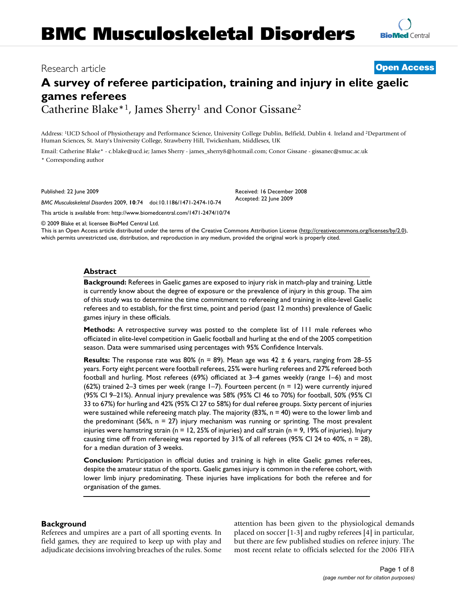# Research article **[Open Access](http://www.biomedcentral.com/info/about/charter/) A survey of referee participation, training and injury in elite gaelic games referees**

Catherine Blake\*1, James Sherry1 and Conor Gissane2

Address: 1UCD School of Physiotherapy and Performance Science, University College Dublin, Belfield, Dublin 4. Ireland and 2Department of Human Sciences, St. Mary's University College, Strawberry Hill, Twickenham, Middlesex, UK

Email: Catherine Blake\* - c.blake@ucd.ie; James Sherry - james\_sherry8@hotmail.com; Conor Gissane - gissanec@smuc.ac.uk \* Corresponding author

Published: 22 June 2009

*BMC Musculoskeletal Disorders* 2009, **10**:74 doi:10.1186/1471-2474-10-74

[This article is available from: http://www.biomedcentral.com/1471-2474/10/74](http://www.biomedcentral.com/1471-2474/10/74)

Received: 16 December 2008 Accepted: 22 June 2009

© 2009 Blake et al; licensee BioMed Central Ltd.

This is an Open Access article distributed under the terms of the Creative Commons Attribution License [\(http://creativecommons.org/licenses/by/2.0\)](http://creativecommons.org/licenses/by/2.0), which permits unrestricted use, distribution, and reproduction in any medium, provided the original work is properly cited.

#### **Abstract**

**Background:** Referees in Gaelic games are exposed to injury risk in match-play and training. Little is currently know about the degree of exposure or the prevalence of injury in this group. The aim of this study was to determine the time commitment to refereeing and training in elite-level Gaelic referees and to establish, for the first time, point and period (past 12 months) prevalence of Gaelic games injury in these officials.

**Methods:** A retrospective survey was posted to the complete list of 111 male referees who officiated in elite-level competition in Gaelic football and hurling at the end of the 2005 competition season. Data were summarised using percentages with 95% Confidence Intervals.

**Results:** The response rate was  $80\%$  (n =  $89$ ). Mean age was  $42 \pm 6$  years, ranging from  $28-55$ years. Forty eight percent were football referees, 25% were hurling referees and 27% refereed both football and hurling. Most referees (69%) officiated at 3–4 games weekly (range 1–6) and most (62%) trained 2–3 times per week (range 1–7). Fourteen percent (n = 12) were currently injured (95% CI 9–21%). Annual injury prevalence was 58% (95% CI 46 to 70%) for football, 50% (95% CI 33 to 67%) for hurling and 42% (95% CI 27 to 58%) for dual referee groups. Sixty percent of injuries were sustained while refereeing match play. The majority (83%, n = 40) were to the lower limb and the predominant (56%,  $n = 27$ ) injury mechanism was running or sprinting. The most prevalent injuries were hamstring strain (n = 12, 25% of injuries) and calf strain (n = 9, 19% of injuries). Injury causing time off from refereeing was reported by  $31\%$  of all referees (95% CI 24 to 40%, n = 28), for a median duration of 3 weeks.

**Conclusion:** Participation in official duties and training is high in elite Gaelic games referees, despite the amateur status of the sports. Gaelic games injury is common in the referee cohort, with lower limb injury predominating. These injuries have implications for both the referee and for organisation of the games.

# **Background**

Referees and umpires are a part of all sporting events. In field games, they are required to keep up with play and adjudicate decisions involving breaches of the rules. Some attention has been given to the physiological demands placed on soccer [1-3] and rugby referees [4] in particular, but there are few published studies on referee injury. The most recent relate to officials selected for the 2006 FIFA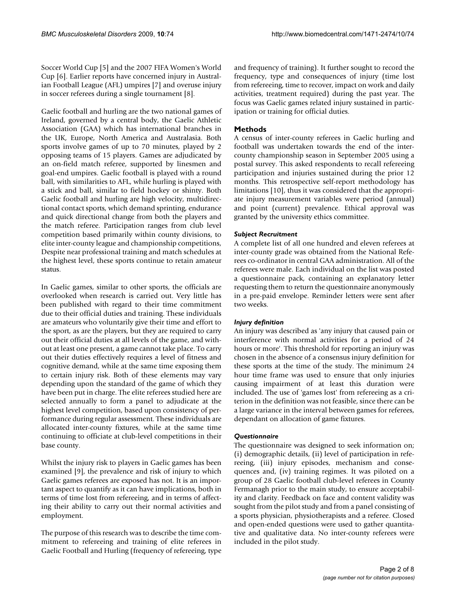Soccer World Cup [5] and the 2007 FIFA Women's World Cup [6]. Earlier reports have concerned injury in Australian Football League (AFL) umpires [7] and overuse injury in soccer referees during a single tournament [8].

Gaelic football and hurling are the two national games of Ireland, governed by a central body, the Gaelic Athletic Association (GAA) which has international branches in the UK, Europe, North America and Australasia. Both sports involve games of up to 70 minutes, played by 2 opposing teams of 15 players. Games are adjudicated by an on-field match referee, supported by linesmen and goal-end umpires. Gaelic football is played with a round ball, with similarities to AFL, while hurling is played with a stick and ball, similar to field hockey or shinty. Both Gaelic football and hurling are high velocity, multidirectional contact sports, which demand sprinting, endurance and quick directional change from both the players and the match referee. Participation ranges from club level competition based primarily within county divisions, to elite inter-county league and championship competitions, Despite near professional training and match schedules at the highest level, these sports continue to retain amateur status.

In Gaelic games, similar to other sports, the officials are overlooked when research is carried out. Very little has been published with regard to their time commitment due to their official duties and training. These individuals are amateurs who voluntarily give their time and effort to the sport, as are the players, but they are required to carry out their official duties at all levels of the game, and without at least one present, a game cannot take place. To carry out their duties effectively requires a level of fitness and cognitive demand, while at the same time exposing them to certain injury risk. Both of these elements may vary depending upon the standard of the game of which they have been put in charge. The elite referees studied here are selected annually to form a panel to adjudicate at the highest level competition, based upon consistency of performance during regular assessment. These individuals are allocated inter-county fixtures, while at the same time continuing to officiate at club-level competitions in their base county.

Whilst the injury risk to players in Gaelic games has been examined [9], the prevalence and risk of injury to which Gaelic games referees are exposed has not. It is an important aspect to quantify as it can have implications, both in terms of time lost from refereeing, and in terms of affecting their ability to carry out their normal activities and employment.

The purpose of this research was to describe the time commitment to refereeing and training of elite referees in Gaelic Football and Hurling (frequency of refereeing, type and frequency of training). It further sought to record the frequency, type and consequences of injury (time lost from refereeing, time to recover, impact on work and daily activities, treatment required) during the past year. The focus was Gaelic games related injury sustained in participation or training for official duties.

# **Methods**

A census of inter-county referees in Gaelic hurling and football was undertaken towards the end of the intercounty championship season in September 2005 using a postal survey. This asked respondents to recall refereeing participation and injuries sustained during the prior 12 months. This retrospective self-report methodology has limitations [10], thus it was considered that the appropriate injury measurement variables were period (annual) and point (current) prevalence. Ethical approval was granted by the university ethics committee.

# *Subject Recruitment*

A complete list of all one hundred and eleven referees at inter-county grade was obtained from the National Referees co-ordinator in central GAA administration. All of the referees were male. Each individual on the list was posted a questionnaire pack, containing an explanatory letter requesting them to return the questionnaire anonymously in a pre-paid envelope. Reminder letters were sent after two weeks.

# *Injury definition*

An injury was described as 'any injury that caused pain or interference with normal activities for a period of 24 hours or more'. This threshold for reporting an injury was chosen in the absence of a consensus injury definition for these sports at the time of the study. The minimum 24 hour time frame was used to ensure that only injuries causing impairment of at least this duration were included. The use of 'games lost' from refereeing as a criterion in the definition was not feasible, since there can be a large variance in the interval between games for referees, dependant on allocation of game fixtures.

# *Questionnaire*

The questionnaire was designed to seek information on; (i) demographic details, (ii) level of participation in refereeing, (iii) injury episodes, mechanism and consequences and, (iv) training regimes. It was piloted on a group of 28 Gaelic football club-level referees in County Fermanagh prior to the main study, to ensure acceptability and clarity. Feedback on face and content validity was sought from the pilot study and from a panel consisting of a sports physician, physiotherapists and a referee. Closed and open-ended questions were used to gather quantitative and qualitative data. No inter-county referees were included in the pilot study.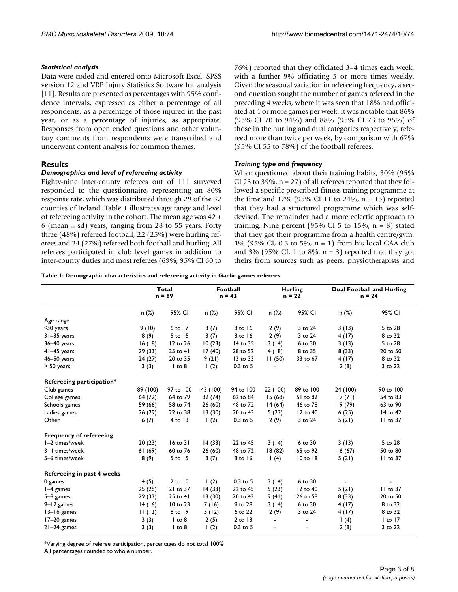## *Statistical analysis*

Data were coded and entered onto Microsoft Excel, SPSS version 12 and VRP Injury Statistics Software for analysis [11]. Results are presented as percentages with 95% confidence intervals, expressed as either a percentage of all respondents, as a percentage of those injured in the past year, or as a percentage of injuries, as appropriate. Responses from open ended questions and other voluntary comments from respondents were transcribed and underwent content analysis for common themes.

# **Results**

## *Demographics and level of refereeing activity*

Eighty-nine inter-county referees out of 111 surveyed responded to the questionnaire, representing an 80% response rate, which was distributed through 29 of the 32 counties of Ireland. Table 1 illustrates age range and level of refereeing activity in the cohort. The mean age was  $42 \pm$ 6 (mean  $\pm$  sd) years, ranging from 28 to 55 years. Forty three (48%) refereed football, 22 (25%) were hurling referees and 24 (27%) refereed both football and hurling. All referees participated in club level games in addition to inter-county duties and most referees (69%, 95% CI 60 to 76%) reported that they officiated 3–4 times each week, with a further 9% officiating 5 or more times weekly. Given the seasonal variation in refereeing frequency, a second question sought the number of games refereed in the preceding 4 weeks, where it was seen that 18% had officiated at 4 or more games per week. It was notable that 86% (95% CI 70 to 94%) and 88% (95% CI 73 to 95%) of those in the hurling and dual categories respectively, refereed more than twice per week, by comparison with 67% (95% CI 55 to 78%) of the football referees.

# *Training type and frequency*

When questioned about their training habits, 30% (95% CI 23 to 39%, n = 27) of all referees reported that they followed a specific prescribed fitness training programme at the time and 17% (95% CI 11 to 24%, n = 15) reported that they had a structured programme which was selfdevised. The remainder had a more eclectic approach to training. Nine percent (95% CI 5 to 15%,  $n = 8$ ) stated that they got their programme from a health centre/gym, 1% (95% CI, 0.3 to 5%, n = 1) from his local GAA club and 3% (95% CI, 1 to 8%,  $n = 3$ ) reported that they got theirs from sources such as peers, physiotherapists and

**Table 1: Demographic characteristics and refereeing activity in Gaelic games referees**

|                                |          | Total<br>$n = 89$ |                    | Football<br>$n = 43$ |                | <b>Hurling</b><br>$n = 22$ |          | <b>Dual Football and Hurling</b><br>$n = 24$ |  |
|--------------------------------|----------|-------------------|--------------------|----------------------|----------------|----------------------------|----------|----------------------------------------------|--|
|                                | n (%)    | 95% CI            | n(%)               | 95% CI               | n (%)          | 95% CI                     | n (%)    | 95% CI                                       |  |
| Age range                      |          |                   |                    |                      |                |                            |          |                                              |  |
| $\leq 0$ years                 | 9(10)    | 6 to 17           | 3(7)               | $3$ to 16            | 2(9)           | 3 to 24                    | 3(13)    | 5 to 28                                      |  |
| $31-35$ years                  | 8(9)     | 5 to 15           | 3(7)               | 3 to 16              | 2(9)           | 3 to 24                    | 4(17)    | 8 to 32                                      |  |
| 36-40 years                    | 16(18)   | 12 to 26          | 10(23)             | 14 to 35             | 3(14)          | 6 to 30                    | 3(13)    | 5 to 28                                      |  |
| $41-45$ years                  | 29(33)   | $25$ to $41$      | 17(40)             | 28 to 52             | 4(18)          | 8 to 35                    | 8(33)    | 20 to 50                                     |  |
| $46 - 50$ years                | 24(27)   | 20 to 35          | 9(21)              | 13 to 33             | 11(50)         | 33 to 67                   | 4(17)    | 8 to 32                                      |  |
| $> 50$ years                   | 3(3)     | $1$ to $8$        | $\vert$ (2)        | 0.3 to 5             |                |                            | 2(8)     | 3 to 22                                      |  |
| Refereeing participation*      |          |                   |                    |                      |                |                            |          |                                              |  |
| Club games                     | 89 (100) | 97 to 100         | 43 (100)           | 94 to 100            | 22 (100)       | 89 to 100                  | 24 (100) | 90 to 100                                    |  |
| College games                  | 64 (72)  | 64 to 79          | 32(74)             | 62 to 84             | 15(68)         | 51 to 82                   | 17(71)   | 54 to 83                                     |  |
| Schools games                  | 59 (66)  | 58 to 74          | 26(60)             | 48 to 72             | 14(64)         | 46 to 78                   | 19 (79)  | 63 to 90                                     |  |
| Ladies games                   | 26 (29)  | 22 to 38          | 13(30)             | 20 to 43             | 5(23)          | 12 to 40                   | 6(25)    | 14 to 42                                     |  |
| Other                          | 6(7)     | $4$ to 13         | $\vert$ (2)        | $0.3$ to $5$         | 2(9)           | 3 to 24                    | 5(21)    | $II$ to 37                                   |  |
| <b>Frequency of refereeing</b> |          |                   |                    |                      |                |                            |          |                                              |  |
| I-2 times/week                 | 20(23)   | $16$ to $31$      | 14(33)             | 22 to 45             | 3(14)          | 6 to 30                    | 3(13)    | 5 to 28                                      |  |
| 3-4 times/week                 | 61(69)   | 60 to 76          | 26(60)             | 48 to 72             | 18(82)         | 65 to 92                   | 16(67)   | 50 to 80                                     |  |
| 5-6 times/week                 | 8(9)     | 5 to 15           | 3(7)               | 3 to 16              | $\mid$ (4)     | 10 to 18                   | 5(21)    | $II$ to 37                                   |  |
| Refereeing in past 4 weeks     |          |                   |                    |                      |                |                            |          |                                              |  |
| 0 games                        | 4(5)     | $2$ to $10$       | $\vert$ (2)        | $0.3$ to $5$         | 3(14)          | 6 to 30                    |          |                                              |  |
| $I-4$ games                    | 25 (28)  | 21 to 37          | 14(33)             | 22 to 45             | 5(23)          | 12 to 40                   | 5(21)    | $II$ to 37                                   |  |
| 5-8 games                      | 29(33)   | 25 to 41          | 13(30)             | 20 to 43             | 9(41)          | 26 to 58                   | 8(33)    | 20 to 50                                     |  |
| $9 - 12$ games                 | 14(16)   | 10 to 23          | 7(16)              | 9 to 28              | 3(14)          | 6 to 30                    | 4(17)    | 8 to 32                                      |  |
| 13-16 games                    | 11(12)   | 8 to 19           | 5(12)              | 6 to 22              | 2(9)           | 3 to 24                    | 4(17)    | 8 to 32                                      |  |
| 17-20 games                    | 3(3)     | $ $ to $8$        | 2(5)               | $2$ to $13$          | $\blacksquare$ |                            | 1(4)     | $ $ to $ 7$                                  |  |
| $21-24$ games                  | 3(3)     | $ $ to 8          | $\left( 2 \right)$ | $0.3$ to $5$         | $\blacksquare$ | $\blacksquare$             | 2(8)     | 3 to 22                                      |  |

\*Varying degree of referee participation, percentages do not total 100% All percentages rounded to whole number.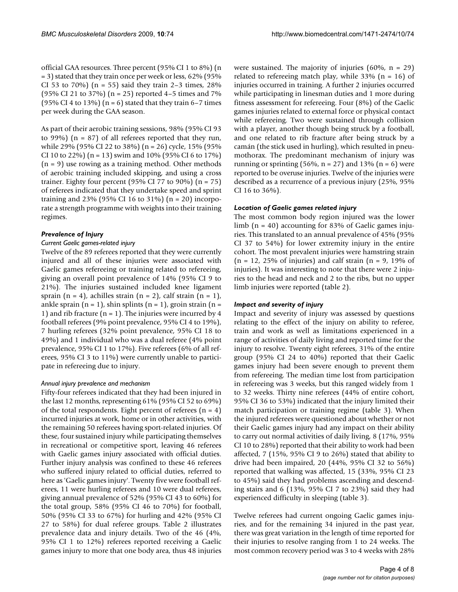official GAA resources. Three percent (95% CI 1 to 8%) (n = 3) stated that they train once per week or less, 62% (95% CI 53 to 70%) ( $n = 55$ ) said they train 2-3 times, 28% (95% CI 21 to 37%) ( $n = 25$ ) reported 4-5 times and 7% (95% CI 4 to 13%) ( $n = 6$ ) stated that they train 6–7 times per week during the GAA season.

As part of their aerobic training sessions, 98% (95% CI 93 to 99%) ( $n = 87$ ) of all referees reported that they run, while 29% (95% CI 22 to 38%) (n = 26) cycle, 15% (95% CI 10 to 22%) ( $n = 13$ ) swim and 10% (95% CI 6 to 17%)  $(n = 9)$  use rowing as a training method. Other methods of aerobic training included skipping, and using a cross trainer. Eighty four percent (95% CI 77 to 90%) ( $n = 75$ ) of referees indicated that they undertake speed and sprint training and 23% (95% CI 16 to 31%) (n = 20) incorporate a strength programme with weights into their training regimes.

# *Prevalence of Injury*

## *Current Gaelic games-related injury*

Twelve of the 89 referees reported that they were currently injured and all of these injuries were associated with Gaelic games refereeing or training related to refereeing, giving an overall point prevalence of 14% (95% CI 9 to 21%). The injuries sustained included knee ligament sprain (n = 4), achilles strain (n = 2), calf strain (n = 1), ankle sprain  $(n = 1)$ , shin splints  $(n = 1)$ , groin strain  $(n = 1)$ 1) and rib fracture ( $n = 1$ ). The injuries were incurred by 4 football referees (9% point prevalence, 95% CI 4 to 19%), 7 hurling referees (32% point prevalence, 95% CI 18 to 49%) and 1 individual who was a dual referee (4% point prevalence, 95% CI 1 to 17%). Five referees (6% of all referees, 95% CI 3 to 11%) were currently unable to participate in refereeing due to injury.

# *Annual injury prevalence and mechanism*

Fifty-four referees indicated that they had been injured in the last 12 months, representing 61% (95% CI 52 to 69%) of the total respondents. Eight percent of referees  $(n = 4)$ incurred injuries at work, home or in other activities, with the remaining 50 referees having sport-related injuries. Of these, four sustained injury while participating themselves in recreational or competitive sport, leaving 46 referees with Gaelic games injury associated with official duties. Further injury analysis was confined to these 46 referees who suffered injury related to official duties, referred to here as 'Gaelic games injury'. Twenty five were football referees, 11 were hurling referees and 10 were dual referees, giving annual prevalence of 52% (95% CI 43 to 60%) for the total group, 58% (95% CI 46 to 70%) for football, 50% (95% CI 33 to 67%) for hurling and 42% (95% CI 27 to 58%) for dual referee groups. Table 2 illustrates prevalence data and injury details. Two of the 46 (4%, 95% CI 1 to 12%) referees reported receiving a Gaelic games injury to more that one body area, thus 48 injuries were sustained. The majority of injuries  $(60\%, n = 29)$ related to refereeing match play, while  $33\%$  (n = 16) of injuries occurred in training. A further 2 injuries occurred while participating in linesman duties and 1 more during fitness assessment for refereeing. Four (8%) of the Gaelic games injuries related to external force or physical contact while refereeing. Two were sustained through collision with a player, another though being struck by a football, and one related to rib fracture after being struck by a camán (the stick used in hurling), which resulted in pneumothorax. The predominant mechanism of injury was running or sprinting  $(56\%, n = 27)$  and  $13\%$   $(n = 6)$  were reported to be overuse injuries. Twelve of the injuries were described as a recurrence of a previous injury (25%, 95% CI 16 to 36%).

# *Location of Gaelic games related injury*

The most common body region injured was the lower limb  $(n = 40)$  accounting for 83% of Gaelic games injuries. This translated to an annual prevalence of 45% (95% CI 37 to 54%) for lower extremity injury in the entire cohort. The most prevalent injuries were hamstring strain  $(n = 12, 25\% \text{ of injuries})$  and calf strain  $(n = 9, 19\% \text{ of}$ injuries). It was interesting to note that there were 2 injuries to the head and neck and 2 to the ribs, but no upper limb injuries were reported (table 2).

#### *Impact and severity of injury*

Impact and severity of injury was assessed by questions relating to the effect of the injury on ability to referee, train and work as well as limitations experienced in a range of activities of daily living and reported time for the injury to resolve. Twenty eight referees, 31% of the entire group (95% CI 24 to 40%) reported that their Gaelic games injury had been severe enough to prevent them from refereeing. The median time lost from participation in refereeing was 3 weeks, but this ranged widely from 1 to 32 weeks. Thirty nine referees (44% of entire cohort, 95% CI 36 to 53%) indicated that the injury limited their match participation or training regime (table 3). When the injured referees were questioned about whether or not their Gaelic games injury had any impact on their ability to carry out normal activities of daily living, 8 (17%, 95% CI 10 to 28%) reported that their ability to work had been affected, 7 (15%, 95% CI 9 to 26%) stated that ability to drive had been impaired, 20 (44%, 95% CI 32 to 56%) reported that walking was affected, 15 (33%, 95% CI 23 to 45%) said they had problems ascending and descending stairs and 6 (13%, 95% CI 7 to 23%) said they had experienced difficulty in sleeping (table 3).

Twelve referees had current ongoing Gaelic games injuries, and for the remaining 34 injured in the past year, there was great variation in the length of time reported for their injuries to resolve ranging from 1 to 24 weeks. The most common recovery period was 3 to 4 weeks with 28%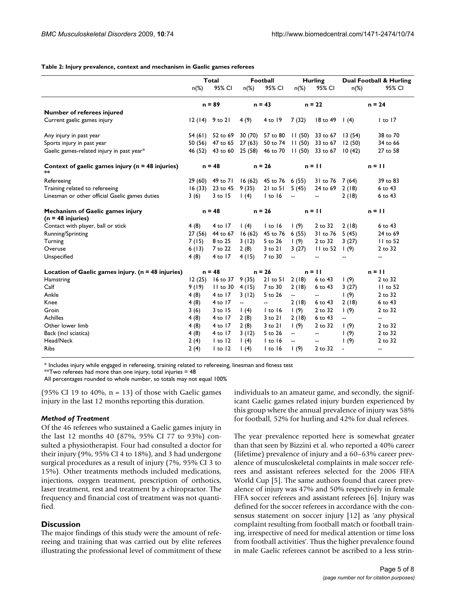#### **Table 2: Injury prevalence, context and mechanism in Gaelic games referees**

|                                                           | <b>Total</b> |             | Football         |                          | <b>Hurling</b>           |                          | <b>Dual Football &amp; Hurling</b> |                          |
|-----------------------------------------------------------|--------------|-------------|------------------|--------------------------|--------------------------|--------------------------|------------------------------------|--------------------------|
|                                                           | $n(\%)$      | 95% CI      | $n(\%)$          | 95% CI                   | $n(\%)$                  | 95% CI                   | $n(\%)$                            | 95% CI                   |
|                                                           | $n = 89$     |             | $n = 43$         |                          | $n = 22$                 |                          | $n = 24$                           |                          |
| Number of referees injured                                |              |             |                  |                          |                          |                          |                                    |                          |
| Current gaelic games injury                               | 12(14)       | $9$ to $21$ | 4(9)             | $4$ to 19                | 7(32)                    | 18 to 49                 | $\vert$ (4)                        | $ $ to $ 7$              |
| Any injury in past year                                   | 54 (61)      | 52 to 69    | 30(70)           | 57 to 80                 | 11(50)                   | 33 to 67                 | 13(54)                             | 38 to 70                 |
| Sports injury in past year                                | 50 (56)      | 47 to 65    | 27(63)           | 50 to 74                 | 11(50)                   | 33 to 67                 | 12(50)                             | 34 to 66                 |
| Gaelic games-related injury in past year*                 | 46 (52)      | 43 to 60    | 25(58)           | 46 to 70                 | 11(50)                   | 33 to 67                 | 10(42)                             | 27 to 58                 |
| Context of gaelic games injury ( $n = 48$ injuries)<br>** |              | $n = 48$    |                  | $n = 26$                 | $n = 11$                 |                          | $n = 11$                           |                          |
| Refereeing                                                | 29(60)       | 49 to 71    | 16(62)           | 45 to 76                 | 6(55)                    | 31 to 76                 | 7(64)                              | 39 to 83                 |
| Training related to refereeing                            | 16(33)       | 23 to 45    | 9(35)            | $21$ to $51$             | 5(45)                    | 24 to 69                 | 2(18)                              | 6 to 43                  |
| Linesman or other official Gaelic games duties            | 3(6)         | 3 to 15     | 1(4)             | $ $ to $ $ 6             | $\overline{a}$           |                          | 2(18)                              | $6$ to 43                |
| Mechanism of Gaelic games injury<br>$(n = 48$ injuries)   | $n = 48$     |             | $n = 26$         |                          | $n = 11$                 |                          | $n = 11$                           |                          |
| Contact with player, ball or stick                        | 4(8)         | $4$ to 17   | 1(4)             | $1$ to $16$              | 1(9)                     | 2 to 32                  | 2(18)                              | $6$ to $43$              |
| Running/Sprinting                                         | 27(56)       | 44 to 67    | 16(62)           | 45 to 76                 | 6(55)                    | 31 to 76                 | 5(45)                              | 24 to 69                 |
| Turning                                                   | 7(15)        | 8 to 25     | 3(12)            | 5 to 26                  | 1(9)                     | 2 to 32                  | 3(27)                              | $11$ to 52               |
| Overuse                                                   | 6(13)        | 7 to 22     | 2(8)             | $3$ to $21$              | 3(27)                    | $11$ to 52               | 1(9)                               | 2 to 32                  |
| Unspecified                                               | 4(8)         | 4 to 17     | 4(15)            | 7 to 30                  | $\overline{\phantom{a}}$ |                          | --                                 |                          |
| Location of Gaelic games injury. ( $n = 48$ injuries)     |              | $n = 48$    | $n = 26$         |                          | $n = 11$                 |                          | $n = 11$                           |                          |
| Hamstring                                                 | 12(25)       | 16 to 37    | 9(35)            | $21$ to $51$             | 2(18)                    | 6 to 43                  | $\vert$ (9)                        | 2 to 32                  |
| Calf                                                      | 9(19)        | $II$ to 30  | 4(15)            | 7 to 30                  | 2(18)                    | 6 to 43                  | 3(27)                              | $II$ to 52               |
| Ankle                                                     | 4(8)         | 4 to 17     | 3(12)            | 5 to 26                  | $\overline{\phantom{a}}$ | $\overline{\phantom{a}}$ | 1(9)                               | 2 to 32                  |
| Knee                                                      | 4(8)         | 4 to 17     | $\overline{a}$   | $\overline{\phantom{a}}$ | 2(18)                    | 6 to 43                  | 2(18)                              | $6$ to $43$              |
| Groin                                                     | 3(6)         | $3$ to $15$ | $\mid$ (4)       | $ $ to $ $ 6             | $\vert$ (9)              | 2 to 32                  | 1(9)                               | 2 to 32                  |
| <b>Achilles</b>                                           | 4(8)         | $4$ to $17$ | 2(8)             | $3$ to $21$              | 2(18)                    | 6 to 43                  | $\overline{\phantom{a}}$           |                          |
| Other lower limb                                          | 4(8)         | 4 to 17     | 2(8)             | $3$ to $21$              | 1(9)                     | 2 to 32                  | (9)                                | 2 to 32                  |
| Back (incl sciatica)                                      | 4(8)         | 4 to 17     | 3(12)            | 5 to 26                  | $\overline{a}$           | $\overline{a}$           | $\left( 9\right)$                  | 2 to 32                  |
| Head/Neck                                                 | 2(4)         | $1$ to $12$ | 1(4)             | $1$ to $16$              | $\overline{\phantom{a}}$ | $\overline{\phantom{a}}$ | 1(9)                               | 2 to 32                  |
| <b>Ribs</b>                                               | 2(4)         | $ $ to $ 2$ | $\mathsf{I}$ (4) | $1$ to $16$              | 1(9)                     | 2 to 32                  |                                    | $\overline{\phantom{a}}$ |

\* Includes injury while engaged in refereeing, training related to refereeing, linesman and fitness test

 $*$ Two referees had more than one injury, total injuries = 48

All percentages rounded to whole number, so totals may not equal 100%

(95% CI 19 to 40%,  $n = 13$ ) of those with Gaelic games injury in the last 12 months reporting this duration.

#### *Method of Treatment*

Of the 46 referees who sustained a Gaelic games injury in the last 12 months 40 (87%, 95% CI 77 to 93%) consulted a physiotherapist. Four had consulted a doctor for their injury (9%, 95% CI 4 to 18%), and 3 had undergone surgical procedures as a result of injury (7%, 95% CI 3 to 15%). Other treatments methods included medications, injections, oxygen treatment, prescription of orthotics, laser treatment, rest and treatment by a chiropractor. The frequency and financial cost of treatment was not quantified.

## **Discussion**

The major findings of this study were the amount of refereeing and training that was carried out by elite referees illustrating the professional level of commitment of these individuals to an amateur game, and secondly, the significant Gaelic games related injury burden experienced by this group where the annual prevalence of injury was 58% for football, 52% for hurling and 42% for dual referees.

The year prevalence reported here is somewhat greater than that seen by Bizzini et al. who reported a 40% career (lifetime) prevalence of injury and a 60–63% career prevalence of musculoskeletal complaints in male soccer referees and assistant referees selected for the 2006 FIFA World Cup [5]. The same authors found that career prevalence of injury was 47% and 50% respectively in female FIFA soccer referees and assistant referees [6]. Injury was defined for the soccer referees in accordance with the consensus statement on soccer injury [12] as 'any physical complaint resulting from football match or football training, irrespective of need for medical attention or time loss from football activities'. Thus the higher prevalence found in male Gaelic referees cannot be ascribed to a less strin-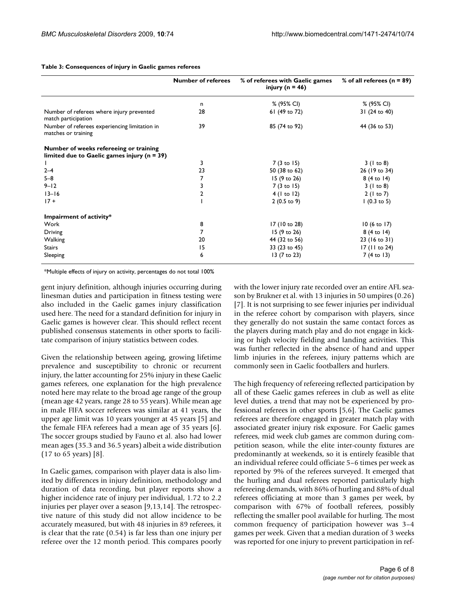|                                                                                           | <b>Number of referees</b> | % of referees with Gaelic games<br>injury ( $n = 46$ ) | % of all referees $(n = 89)$ |
|-------------------------------------------------------------------------------------------|---------------------------|--------------------------------------------------------|------------------------------|
|                                                                                           | n                         | % (95% CI)                                             | % (95% CI)                   |
| Number of referees where injury prevented<br>match participation                          | 28                        | 61 (49 to 72)                                          | 31 (24 to 40)                |
| Number of referees experiencing limitation in<br>matches or training                      | 39                        | 85 (74 to 92)                                          | 44 (36 to 53)                |
| Number of weeks refereeing or training<br>limited due to Gaelic games injury ( $n = 39$ ) |                           |                                                        |                              |
|                                                                                           | 3                         | $7(3 \text{ to } 15)$                                  | 3(1 to 8)                    |
| $2 - 4$                                                                                   | 23                        | 50 (38 to 62)                                          | 26 (19 to 34)                |
| $5 - 8$                                                                                   | 7                         | 15 (9 to 26)                                           | $8(4 \text{ to } 14)$        |
| $9 - 12$                                                                                  | 3                         | 7(3 to 15)                                             | 3(1 to 8)                    |
| $13 - 16$                                                                                 | 2                         | $4$ (1 to 12)                                          | 2(1 to 7)                    |
| $17 +$                                                                                    |                           | $2(0.5 \text{ to } 9)$                                 | $1(0.3 \text{ to } 5)$       |
| Impairment of activity*                                                                   |                           |                                                        |                              |
| Work                                                                                      | 8                         | 17 (10 to 28)                                          | $10(6 \text{ to } 17)$       |
| Driving                                                                                   | 7                         | 15(9 to 26)                                            | $8(4 \text{ to } 14)$        |
| Walking                                                                                   | 20                        | 44 (32 to 56)                                          | 23 (16 to 31)                |
| Stairs                                                                                    | 15                        | 33 (23 to 45)                                          | $17$ (11 to 24)              |
| Sleeping                                                                                  | 6                         | 13 (7 to 23)                                           | 7(4 to 13)                   |

#### **Table 3: Consequences of injury in Gaelic games referees**

\*Multiple effects of injury on activity, percentages do not total 100%

gent injury definition, although injuries occurring during linesman duties and participation in fitness testing were also included in the Gaelic games injury classification used here. The need for a standard definition for injury in Gaelic games is however clear. This should reflect recent published consensus statements in other sports to facilitate comparison of injury statistics between codes.

Given the relationship between ageing, growing lifetime prevalence and susceptibility to chronic or recurrent injury, the latter accounting for 25% injury in these Gaelic games referees, one explanation for the high prevalence noted here may relate to the broad age range of the group (mean age 42 years, range 28 to 55 years). While mean age in male FIFA soccer referees was similar at 41 years, the upper age limit was 10 years younger at 45 years [5] and the female FIFA referees had a mean age of 35 years [6]. The soccer groups studied by Fauno et al. also had lower mean ages (35.3 and 36.5 years) albeit a wide distribution (17 to 65 years) [8].

In Gaelic games, comparison with player data is also limited by differences in injury definition, methodology and duration of data recording, but player reports show a higher incidence rate of injury per individual, 1.72 to 2.2 injuries per player over a season [9,13,14]. The retrospective nature of this study did not allow incidence to be accurately measured, but with 48 injuries in 89 referees, it is clear that the rate (0.54) is far less than one injury per referee over the 12 month period. This compares poorly with the lower injury rate recorded over an entire AFL season by Brukner et al. with 13 injuries in 50 umpires (0.26) [7]. It is not surprising to see fewer injuries per individual in the referee cohort by comparison with players, since they generally do not sustain the same contact forces as the players during match play and do not engage in kicking or high velocity fielding and landing activities. This was further reflected in the absence of hand and upper limb injuries in the referees, injury patterns which are commonly seen in Gaelic footballers and hurlers.

The high frequency of refereeing reflected participation by all of these Gaelic games referees in club as well as elite level duties, a trend that may not be experienced by professional referees in other sports [5,6]. The Gaelic games referees are therefore engaged in greater match play with associated greater injury risk exposure. For Gaelic games referees, mid week club games are common during competition season, while the elite inter-county fixtures are predominantly at weekends, so it is entirely feasible that an individual referee could officiate 5–6 times per week as reported by 9% of the referees surveyed. It emerged that the hurling and dual referees reported particularly high refereeing demands, with 86% of hurling and 88% of dual referees officiating at more than 3 games per week, by comparison with 67% of football referees, possibly reflecting the smaller pool available for hurling. The most common frequency of participation however was 3–4 games per week. Given that a median duration of 3 weeks was reported for one injury to prevent participation in ref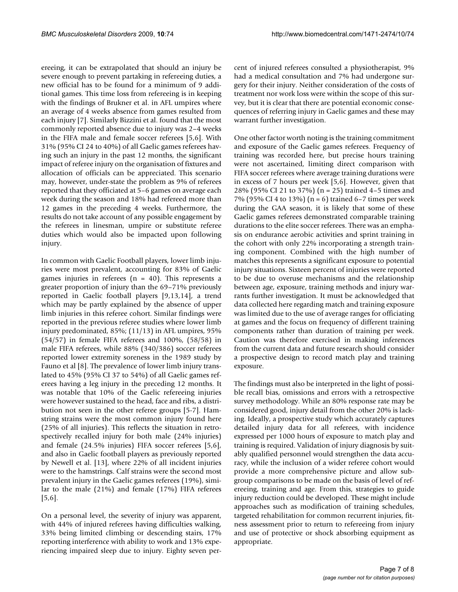ereeing, it can be extrapolated that should an injury be severe enough to prevent partaking in refereeing duties, a new official has to be found for a minimum of 9 additional games. This time loss from refereeing is in keeping with the findings of Brukner et al. in AFL umpires where an average of 4 weeks absence from games resulted from each injury [7]. Similarly Bizzini et al. found that the most commonly reported absence due to injury was 2–4 weeks in the FIFA male and female soccer referees [5,6]. With 31% (95% CI 24 to 40%) of all Gaelic games referees having such an injury in the past 12 months, the significant impact of referee injury on the organisation of fixtures and allocation of officials can be appreciated. This scenario may, however, under-state the problem as 9% of referees reported that they officiated at 5–6 games on average each week during the season and 18% had refereed more than 12 games in the preceding 4 weeks. Furthermore, the results do not take account of any possible engagement by the referees in linesman, umpire or substitute referee duties which would also be impacted upon following injury.

In common with Gaelic Football players, lower limb injuries were most prevalent, accounting for 83% of Gaelic games injuries in referees ( $n = 40$ ). This represents a greater proportion of injury than the 69–71% previously reported in Gaelic football players [9,13,14], a trend which may be partly explained by the absence of upper limb injuries in this referee cohort. Similar findings were reported in the previous referee studies where lower limb injury predominated, 85%; (11/13) in AFL umpires, 95% (54/57) in female FIFA referees and 100%, (58/58) in male FIFA referees, while 88% (340/386) soccer referees reported lower extremity soreness in the 1989 study by Fauno et al [8]. The prevalence of lower limb injury translated to 45% (95% CI 37 to 54%) of all Gaelic games referees having a leg injury in the preceding 12 months. It was notable that 10% of the Gaelic refereeing injuries were however sustained to the head, face and ribs, a distribution not seen in the other referee groups [5-7]. Hamstring strains were the most common injury found here (25% of all injuries). This reflects the situation in retrospectively recalled injury for both male (24% injuries) and female (24.5% injuries) FIFA soccer referees [5,6], and also in Gaelic football players as previously reported by Newell et al. [13], where 22% of all incident injuries were to the hamstrings. Calf strains were the second most prevalent injury in the Gaelic games referees (19%), similar to the male (21%) and female (17%) FIFA referees [5,6].

On a personal level, the severity of injury was apparent, with 44% of injured referees having difficulties walking, 33% being limited climbing or descending stairs, 17% reporting interference with ability to work and 13% experiencing impaired sleep due to injury. Eighty seven percent of injured referees consulted a physiotherapist, 9% had a medical consultation and 7% had undergone surgery for their injury. Neither consideration of the costs of treatment nor work loss were within the scope of this survey, but it is clear that there are potential economic consequences of referring injury in Gaelic games and these may warrant further investigation.

One other factor worth noting is the training commitment and exposure of the Gaelic games referees. Frequency of training was recorded here, but precise hours training were not ascertained, limiting direct comparison with FIFA soccer referees where average training durations were in excess of 7 hours per week [5,6]. However, given that 28% (95% CI 21 to 37%) (n = 25) trained 4–5 times and 7% (95% CI 4 to 13%) (n = 6) trained 6–7 times per week during the GAA season, it is likely that some of these Gaelic games referees demonstrated comparable training durations to the elite soccer referees. There was an emphasis on endurance aerobic activities and sprint training in the cohort with only 22% incorporating a strength training component. Combined with the high number of matches this represents a significant exposure to potential injury situations. Sixteen percent of injuries were reported to be due to overuse mechanisms and the relationship between age, exposure, training methods and injury warrants further investigation. It must be acknowledged that data collected here regarding match and training exposure was limited due to the use of average ranges for officiating at games and the focus on frequency of different training components rather than duration of training per week. Caution was therefore exercised in making inferences from the current data and future research should consider a prospective design to record match play and training exposure.

The findings must also be interpreted in the light of possible recall bias, omissions and errors with a retrospective survey methodology. While an 80% response rate may be considered good, injury detail from the other 20% is lacking. Ideally, a prospective study which accurately captures detailed injury data for all referees, with incidence expressed per 1000 hours of exposure to match play and training is required. Validation of injury diagnosis by suitably qualified personnel would strengthen the data accuracy, while the inclusion of a wider referee cohort would provide a more comprehensive picture and allow subgroup comparisons to be made on the basis of level of refereeing, training and age. From this, strategies to guide injury reduction could be developed. These might include approaches such as modification of training schedules, targeted rehabilitation for common recurrent injuries, fitness assessment prior to return to refereeing from injury and use of protective or shock absorbing equipment as appropriate.